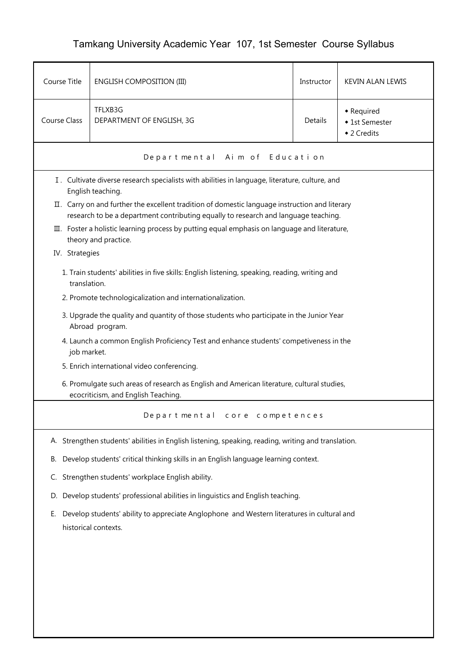## Tamkang University Academic Year 107, 1st Semester Course Syllabus

| Course Title        | <b>ENGLISH COMPOSITION (III)</b>                                                                                                                                                                             | Instructor | <b>KEVIN ALAN LEWIS</b>                     |  |  |  |
|---------------------|--------------------------------------------------------------------------------------------------------------------------------------------------------------------------------------------------------------|------------|---------------------------------------------|--|--|--|
| <b>Course Class</b> | TFLXB3G<br>DEPARTMENT OF ENGLISH, 3G                                                                                                                                                                         | Details    | • Required<br>◆ 1st Semester<br>◆ 2 Credits |  |  |  |
|                     | Departmental Aim of Education                                                                                                                                                                                |            |                                             |  |  |  |
|                     | I. Cultivate diverse research specialists with abilities in language, literature, culture, and<br>English teaching.                                                                                          |            |                                             |  |  |  |
|                     | II. Carry on and further the excellent tradition of domestic language instruction and literary                                                                                                               |            |                                             |  |  |  |
|                     | research to be a department contributing equally to research and language teaching.<br>III. Foster a holistic learning process by putting equal emphasis on language and literature,<br>theory and practice. |            |                                             |  |  |  |
| IV. Strategies      |                                                                                                                                                                                                              |            |                                             |  |  |  |
|                     | 1. Train students' abilities in five skills: English listening, speaking, reading, writing and<br>translation.                                                                                               |            |                                             |  |  |  |
|                     | 2. Promote technologicalization and internationalization.                                                                                                                                                    |            |                                             |  |  |  |
|                     | 3. Upgrade the quality and quantity of those students who participate in the Junior Year<br>Abroad program.                                                                                                  |            |                                             |  |  |  |
|                     | 4. Launch a common English Proficiency Test and enhance students' competiveness in the<br>job market.                                                                                                        |            |                                             |  |  |  |
|                     | 5. Enrich international video conferencing.                                                                                                                                                                  |            |                                             |  |  |  |
|                     | 6. Promulgate such areas of research as English and American literature, cultural studies,<br>ecocriticism, and English Teaching.                                                                            |            |                                             |  |  |  |
|                     | Departmental core competences                                                                                                                                                                                |            |                                             |  |  |  |
|                     | A. Strengthen students' abilities in English listening, speaking, reading, writing and translation.                                                                                                          |            |                                             |  |  |  |
| В.                  | Develop students' critical thinking skills in an English language learning context.                                                                                                                          |            |                                             |  |  |  |
| C.                  | Strengthen students' workplace English ability.                                                                                                                                                              |            |                                             |  |  |  |
| D.                  | Develop students' professional abilities in linguistics and English teaching.                                                                                                                                |            |                                             |  |  |  |
| Е.                  | Develop students' ability to appreciate Anglophone and Western literatures in cultural and<br>historical contexts.                                                                                           |            |                                             |  |  |  |
|                     |                                                                                                                                                                                                              |            |                                             |  |  |  |
|                     |                                                                                                                                                                                                              |            |                                             |  |  |  |
|                     |                                                                                                                                                                                                              |            |                                             |  |  |  |
|                     |                                                                                                                                                                                                              |            |                                             |  |  |  |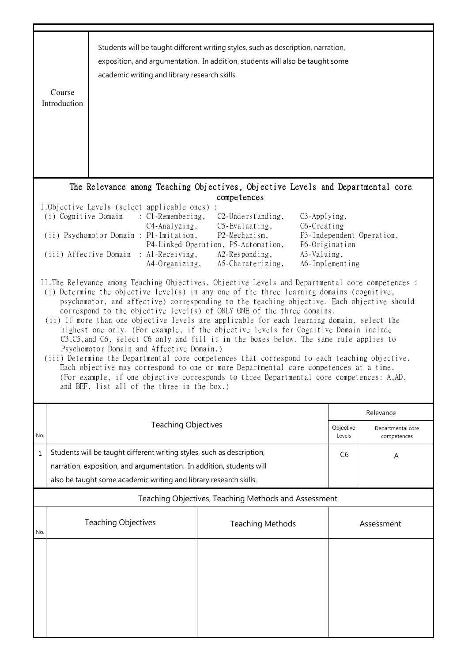|     | Course<br>Introduction                                                                                                                                                                                                                                                                                                                                                                                                                                                                                                                                                                                                                                                                                                                                                                                                                                                                                                                                                                                                                                                                                                                                                                                                                                                                                                                                                                                                                                                                                                                                | academic writing and library research skills.                                                                                                                                                                       | Students will be taught different writing styles, such as description, narration,<br>exposition, and argumentation. In addition, students will also be taught some |                     |                                  |  |  |
|-----|-------------------------------------------------------------------------------------------------------------------------------------------------------------------------------------------------------------------------------------------------------------------------------------------------------------------------------------------------------------------------------------------------------------------------------------------------------------------------------------------------------------------------------------------------------------------------------------------------------------------------------------------------------------------------------------------------------------------------------------------------------------------------------------------------------------------------------------------------------------------------------------------------------------------------------------------------------------------------------------------------------------------------------------------------------------------------------------------------------------------------------------------------------------------------------------------------------------------------------------------------------------------------------------------------------------------------------------------------------------------------------------------------------------------------------------------------------------------------------------------------------------------------------------------------------|---------------------------------------------------------------------------------------------------------------------------------------------------------------------------------------------------------------------|--------------------------------------------------------------------------------------------------------------------------------------------------------------------|---------------------|----------------------------------|--|--|
|     |                                                                                                                                                                                                                                                                                                                                                                                                                                                                                                                                                                                                                                                                                                                                                                                                                                                                                                                                                                                                                                                                                                                                                                                                                                                                                                                                                                                                                                                                                                                                                       |                                                                                                                                                                                                                     | The Relevance among Teaching Objectives, Objective Levels and Departmental core                                                                                    |                     |                                  |  |  |
|     | competences<br>I.Objective Levels (select applicable ones) :<br>(i) Cognitive Domain<br>$\therefore$ C1-Remembering,<br>C3-Applying,<br>$C2$ -Understanding,<br>$C5$ -Evaluating,<br>C6-Creating<br>C4-Analyzing,<br>(ii) Psychomotor Domain : P1-Imitation,<br>P2-Mechanism,<br>P3-Independent Operation,<br>P4-Linked Operation, P5-Automation,<br>P6-Origination<br>(iii) Affective Domain : Al-Receiving,<br>A2-Responding,<br>A3-Valuing,<br>A6-Implementing<br>A4-Organizing,<br>A5-Charaterizing,<br>II. The Relevance among Teaching Objectives, Objective Levels and Departmental core competences :<br>(i) Determine the objective level(s) in any one of the three learning domains (cognitive,<br>psychomotor, and affective) corresponding to the teaching objective. Each objective should<br>correspond to the objective level(s) of ONLY ONE of the three domains.<br>(ii) If more than one objective levels are applicable for each learning domain, select the<br>highest one only. (For example, if the objective levels for Cognitive Domain include<br>C3, C5, and C6, select C6 only and fill it in the boxes below. The same rule applies to<br>Psychomotor Domain and Affective Domain.)<br>(iii) Determine the Departmental core competences that correspond to each teaching objective.<br>Each objective may correspond to one or more Departmental core competences at a time.<br>(For example, if one objective corresponds to three Departmental core competences: A,AD,<br>and BEF, list all of the three in the box.) |                                                                                                                                                                                                                     |                                                                                                                                                                    |                     |                                  |  |  |
|     |                                                                                                                                                                                                                                                                                                                                                                                                                                                                                                                                                                                                                                                                                                                                                                                                                                                                                                                                                                                                                                                                                                                                                                                                                                                                                                                                                                                                                                                                                                                                                       |                                                                                                                                                                                                                     |                                                                                                                                                                    | Relevance           |                                  |  |  |
| No. |                                                                                                                                                                                                                                                                                                                                                                                                                                                                                                                                                                                                                                                                                                                                                                                                                                                                                                                                                                                                                                                                                                                                                                                                                                                                                                                                                                                                                                                                                                                                                       | <b>Teaching Objectives</b>                                                                                                                                                                                          |                                                                                                                                                                    | Objective<br>Levels | Departmental core<br>competences |  |  |
| 1   |                                                                                                                                                                                                                                                                                                                                                                                                                                                                                                                                                                                                                                                                                                                                                                                                                                                                                                                                                                                                                                                                                                                                                                                                                                                                                                                                                                                                                                                                                                                                                       | Students will be taught different writing styles, such as description,<br>narration, exposition, and argumentation. In addition, students will<br>also be taught some academic writing and library research skills. |                                                                                                                                                                    | C <sub>6</sub>      | A                                |  |  |
|     | Teaching Objectives, Teaching Methods and Assessment                                                                                                                                                                                                                                                                                                                                                                                                                                                                                                                                                                                                                                                                                                                                                                                                                                                                                                                                                                                                                                                                                                                                                                                                                                                                                                                                                                                                                                                                                                  |                                                                                                                                                                                                                     |                                                                                                                                                                    |                     |                                  |  |  |
| No. |                                                                                                                                                                                                                                                                                                                                                                                                                                                                                                                                                                                                                                                                                                                                                                                                                                                                                                                                                                                                                                                                                                                                                                                                                                                                                                                                                                                                                                                                                                                                                       | <b>Teaching Objectives</b>                                                                                                                                                                                          | <b>Teaching Methods</b>                                                                                                                                            |                     | Assessment                       |  |  |
|     |                                                                                                                                                                                                                                                                                                                                                                                                                                                                                                                                                                                                                                                                                                                                                                                                                                                                                                                                                                                                                                                                                                                                                                                                                                                                                                                                                                                                                                                                                                                                                       |                                                                                                                                                                                                                     |                                                                                                                                                                    |                     |                                  |  |  |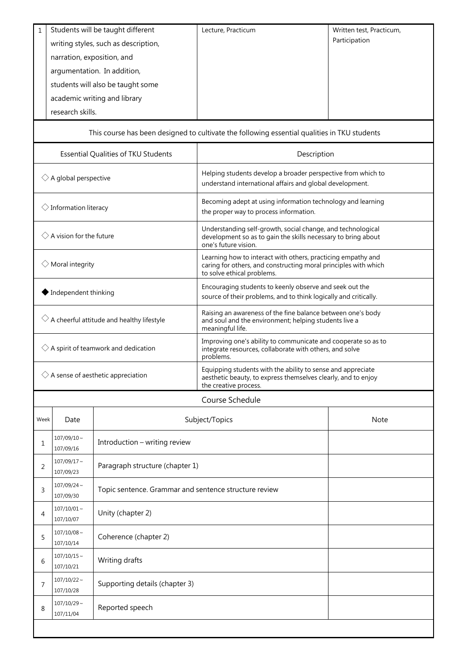| 1                                                        | research skills.                                                                             | Students will be taught different<br>writing styles, such as description,<br>narration, exposition, and<br>argumentation. In addition,<br>students will also be taught some<br>academic writing and library | Lecture, Practicum                                                                                                                                            | Written test, Practicum,<br>Participation |  |  |  |
|----------------------------------------------------------|----------------------------------------------------------------------------------------------|-------------------------------------------------------------------------------------------------------------------------------------------------------------------------------------------------------------|---------------------------------------------------------------------------------------------------------------------------------------------------------------|-------------------------------------------|--|--|--|
|                                                          | This course has been designed to cultivate the following essential qualities in TKU students |                                                                                                                                                                                                             |                                                                                                                                                               |                                           |  |  |  |
| Essential Qualities of TKU Students                      |                                                                                              |                                                                                                                                                                                                             | Description                                                                                                                                                   |                                           |  |  |  |
| $\diamondsuit$ A global perspective                      |                                                                                              |                                                                                                                                                                                                             | Helping students develop a broader perspective from which to<br>understand international affairs and global development.                                      |                                           |  |  |  |
| $\diamondsuit$ Information literacy                      |                                                                                              |                                                                                                                                                                                                             | Becoming adept at using information technology and learning<br>the proper way to process information.                                                         |                                           |  |  |  |
| $\Diamond$ A vision for the future                       |                                                                                              |                                                                                                                                                                                                             | Understanding self-growth, social change, and technological<br>development so as to gain the skills necessary to bring about<br>one's future vision.          |                                           |  |  |  |
| $\Diamond$ Moral integrity                               |                                                                                              |                                                                                                                                                                                                             | Learning how to interact with others, practicing empathy and<br>caring for others, and constructing moral principles with which<br>to solve ethical problems. |                                           |  |  |  |
| Independent thinking                                     |                                                                                              |                                                                                                                                                                                                             | Encouraging students to keenly observe and seek out the<br>source of their problems, and to think logically and critically.                                   |                                           |  |  |  |
| $\diamondsuit$ A cheerful attitude and healthy lifestyle |                                                                                              |                                                                                                                                                                                                             | Raising an awareness of the fine balance between one's body<br>and soul and the environment; helping students live a<br>meaningful life.                      |                                           |  |  |  |
| $\diamondsuit$ A spirit of teamwork and dedication       |                                                                                              |                                                                                                                                                                                                             | Improving one's ability to communicate and cooperate so as to<br>integrate resources, collaborate with others, and solve<br>problems.                         |                                           |  |  |  |
| $\diamondsuit$ A sense of aesthetic appreciation         |                                                                                              |                                                                                                                                                                                                             | Equipping students with the ability to sense and appreciate<br>aesthetic beauty, to express themselves clearly, and to enjoy<br>the creative process.         |                                           |  |  |  |
|                                                          |                                                                                              |                                                                                                                                                                                                             | Course Schedule                                                                                                                                               |                                           |  |  |  |
| Week                                                     | Date                                                                                         |                                                                                                                                                                                                             | Subject/Topics                                                                                                                                                | Note                                      |  |  |  |
| 1                                                        | $107/09/10 \sim$<br>107/09/16                                                                | Introduction - writing review                                                                                                                                                                               |                                                                                                                                                               |                                           |  |  |  |
| 2                                                        | $107/09/17$ ~<br>107/09/23                                                                   | Paragraph structure (chapter 1)                                                                                                                                                                             |                                                                                                                                                               |                                           |  |  |  |
| 3                                                        | $107/09/24$ ~<br>107/09/30                                                                   | Topic sentence. Grammar and sentence structure review                                                                                                                                                       |                                                                                                                                                               |                                           |  |  |  |
| 4                                                        | $107/10/01$ ~<br>107/10/07                                                                   | Unity (chapter 2)                                                                                                                                                                                           |                                                                                                                                                               |                                           |  |  |  |
| 5                                                        | $107/10/08 \sim$<br>107/10/14                                                                | Coherence (chapter 2)                                                                                                                                                                                       |                                                                                                                                                               |                                           |  |  |  |
| 6                                                        | $107/10/15$ ~<br>107/10/21                                                                   | Writing drafts                                                                                                                                                                                              |                                                                                                                                                               |                                           |  |  |  |
| $\overline{7}$                                           | $107/10/22$ ~<br>107/10/28                                                                   | Supporting details (chapter 3)                                                                                                                                                                              |                                                                                                                                                               |                                           |  |  |  |
| 8                                                        | $107/10/29$ ~<br>107/11/04                                                                   | Reported speech                                                                                                                                                                                             |                                                                                                                                                               |                                           |  |  |  |
|                                                          |                                                                                              |                                                                                                                                                                                                             |                                                                                                                                                               |                                           |  |  |  |